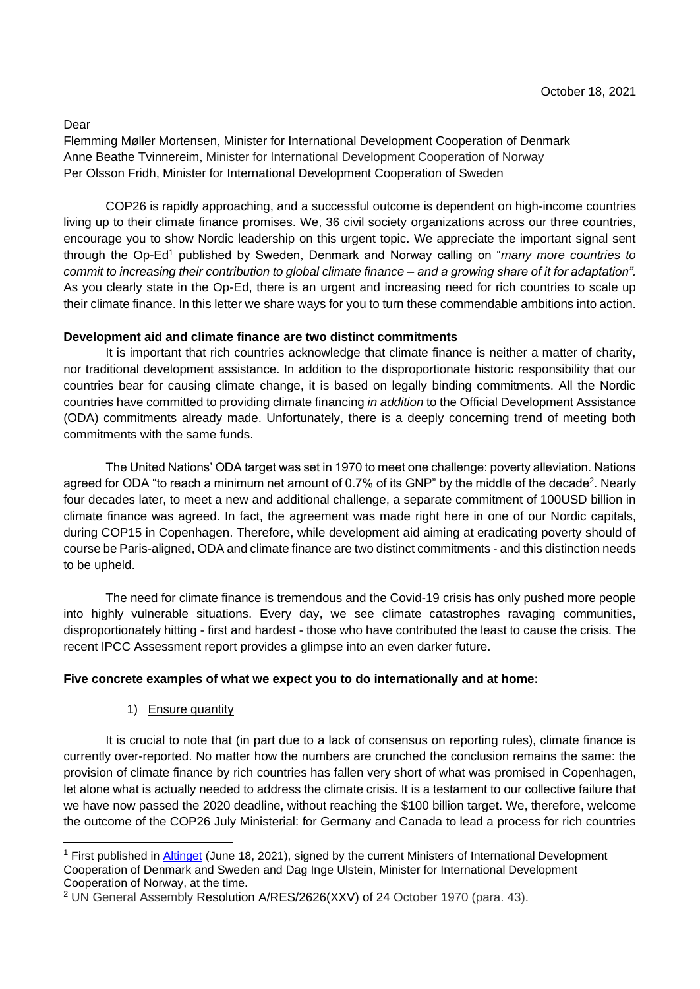Dear

Flemming Møller Mortensen, Minister for International Development Cooperation of Denmark Anne Beathe Tvinnereim, Minister for International Development Cooperation of Norway Per Olsson Fridh, Minister for International Development Cooperation of Sweden

COP26 is rapidly approaching, and a successful outcome is dependent on high-income countries living up to their climate finance promises. We, 36 civil society organizations across our three countries, encourage you to show Nordic leadership on this urgent topic. We appreciate the important signal sent through the Op-Ed<sup>1</sup> published by Sweden, Denmark and Norway calling on "*many more countries to commit to increasing their contribution to global climate finance – and a growing share of it for adaptation".* As you clearly state in the Op-Ed, there is an urgent and increasing need for rich countries to scale up their climate finance. In this letter we share ways for you to turn these commendable ambitions into action.

## **Development aid and climate finance are two distinct commitments**

It is important that rich countries acknowledge that climate finance is neither a matter of charity, nor traditional development assistance. In addition to the disproportionate historic responsibility that our countries bear for causing climate change, it is based on legally binding commitments. All the Nordic countries have committed to providing climate financing *in addition* to the Official Development Assistance (ODA) commitments already made. Unfortunately, there is a deeply concerning trend of meeting both commitments with the same funds.

The United Nations' ODA target was set in 1970 to meet one challenge: poverty alleviation. Nations agreed for ODA "to reach a minimum net amount of 0.7% of its GNP" by the middle of the decade<sup>2</sup>. Nearly four decades later, to meet a new and additional challenge, a separate commitment of 100USD billion in climate finance was agreed. In fact, the agreement was made right here in one of our Nordic capitals, during COP15 in Copenhagen. Therefore, while development aid aiming at eradicating poverty should of course be Paris-aligned, ODA and climate finance are two distinct commitments - and this distinction needs to be upheld.

The need for climate finance is tremendous and the Covid-19 crisis has only pushed more people into highly vulnerable situations. Every day, we see climate catastrophes ravaging communities, disproportionately hitting - first and hardest - those who have contributed the least to cause the crisis. The recent IPCC Assessment report provides a glimpse into an even darker future.

## **Five concrete examples of what we expect you to do internationally and at home:**

1) Ensure quantity

It is crucial to note that (in part due to a lack of consensus on reporting rules), climate finance is currently over-reported. No matter how the numbers are crunched the conclusion remains the same: the provision of climate finance by rich countries has fallen very short of what was promised in Copenhagen, let alone what is actually needed to address the climate crisis. It is a testament to our collective failure that we have now passed the 2020 deadline, without reaching the \$100 billion target. We, therefore, welcome the outcome of the COP26 July Ministerial: for Germany and Canada to lead a process for rich countries

<sup>1</sup> First published in [Altinget](https://www.altinget.dk/energi/artikel/udviklingsministre-i-norden-flere-lande-skal-oege-deres-bidrag-til-den-globale-klimafinansiering) (June 18, 2021), signed by the current Ministers of International Development Cooperation of Denmark and Sweden and Dag Inge Ulstein, Minister for International Development Cooperation of Norway, at the time.

<sup>2</sup> UN General Assembly Resolution [A/RES/2626\(XXV\) o](https://undocs.org/en/A/RES/2626(XXV))f 24 October 1970 (para. 43).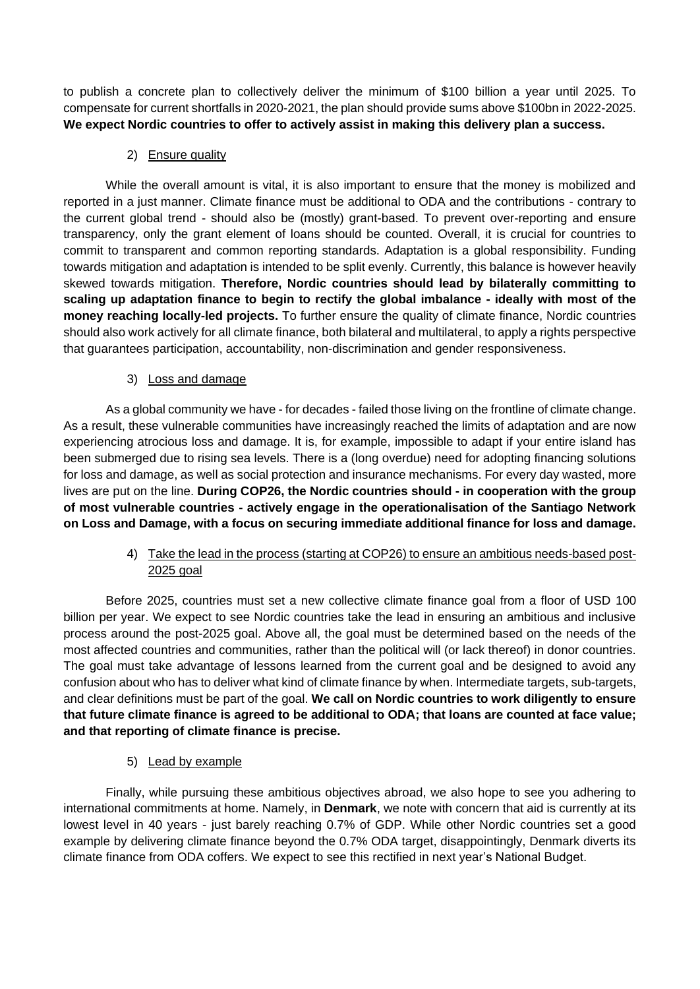to publish a concrete plan to collectively deliver the minimum of \$100 billion a year until 2025. To compensate for current shortfalls in 2020-2021, the plan should provide sums above \$100bn in 2022-2025. **We expect Nordic countries to offer to actively assist in making this delivery plan a success.**

2) Ensure quality

While the overall amount is vital, it is also important to ensure that the money is mobilized and reported in a just manner. Climate finance must be additional to ODA and the contributions - contrary to the current global trend - should also be (mostly) grant-based. To prevent over-reporting and ensure transparency, only the grant element of loans should be counted. Overall, it is crucial for countries to commit to transparent and common reporting standards. Adaptation is a global responsibility. Funding towards mitigation and adaptation is intended to be split evenly. Currently, this balance is however heavily skewed towards mitigation. **Therefore, Nordic countries should lead by bilaterally committing to scaling up adaptation finance to begin to rectify the global imbalance - ideally with most of the money reaching locally-led projects.** To further ensure the quality of climate finance, Nordic countries should also work actively for all climate finance, both bilateral and multilateral, to apply a rights perspective that guarantees participation, accountability, non-discrimination and gender responsiveness.

3) Loss and damage

As a global community we have - for decades - failed those living on the frontline of climate change. As a result, these vulnerable communities have increasingly reached the limits of adaptation and are now experiencing atrocious loss and damage. It is, for example, impossible to adapt if your entire island has been submerged due to rising sea levels. There is a (long overdue) need for adopting financing solutions for loss and damage, as well as social protection and insurance mechanisms. For every day wasted, more lives are put on the line. **During COP26, the Nordic countries should - in cooperation with the group of most vulnerable countries - actively engage in the operationalisation of the Santiago Network on Loss and Damage, with a focus on securing immediate additional finance for loss and damage.** 

> 4) Take the lead in the process (starting at COP26) to ensure an ambitious needs-based post-2025 goal

Before 2025, countries must set a new collective climate finance goal from a floor of USD 100 billion per year. We expect to see Nordic countries take the lead in ensuring an ambitious and inclusive process around the post-2025 goal. Above all, the goal must be determined based on the needs of the most affected countries and communities, rather than the political will (or lack thereof) in donor countries. The goal must take advantage of lessons learned from the current goal and be designed to avoid any confusion about who has to deliver what kind of climate finance by when. Intermediate targets, sub-targets, and clear definitions must be part of the goal. **We call on Nordic countries to work diligently to ensure that future climate finance is agreed to be additional to ODA; that loans are counted at face value; and that reporting of climate finance is precise.**

5) Lead by example

Finally, while pursuing these ambitious objectives abroad, we also hope to see you adhering to international commitments at home. Namely, in **Denmark**, we note with concern that aid is currently at its lowest level in 40 years - just barely reaching 0.7% of GDP. While other Nordic countries set a good example by delivering climate finance beyond the 0.7% ODA target, disappointingly, Denmark diverts its climate finance from ODA coffers. We expect to see this rectified in next year's National Budget.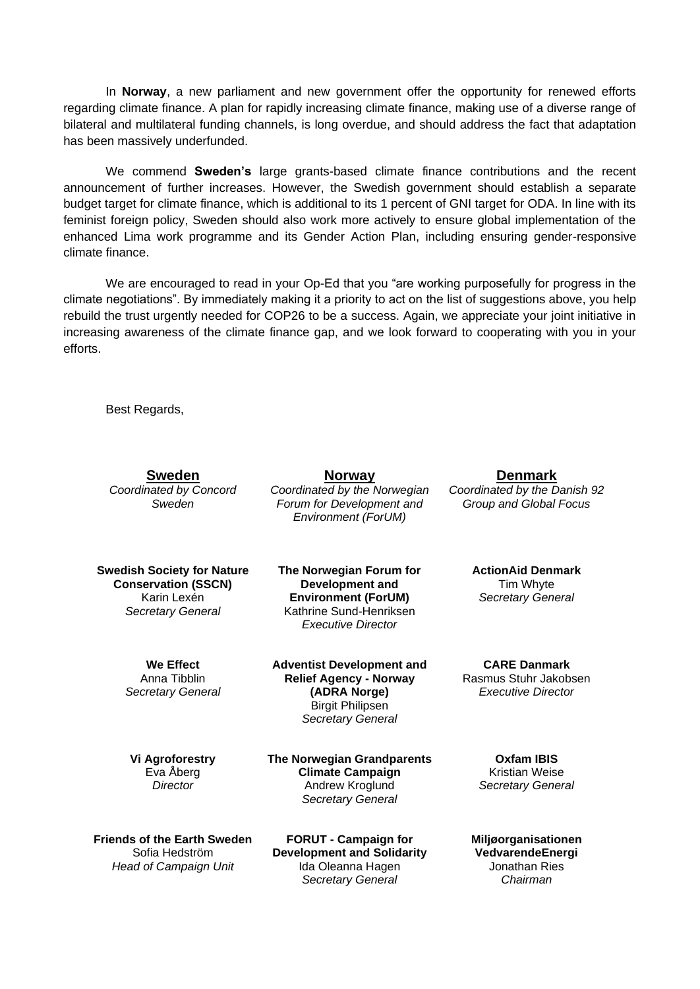In **Norway**, a new parliament and new government offer the opportunity for renewed efforts regarding climate finance. A plan for rapidly increasing climate finance, making use of a diverse range of bilateral and multilateral funding channels, is long overdue, and should address the fact that adaptation has been massively underfunded.

We commend **Sweden's** large grants-based climate finance contributions and the recent announcement of further increases. However, the Swedish government should establish a separate budget target for climate finance, which is additional to its 1 percent of GNI target for ODA. In line with its feminist foreign policy, Sweden should also work more actively to ensure global implementation of the enhanced Lima work programme and its Gender Action Plan, including ensuring gender-responsive climate finance.

We are encouraged to read in your Op-Ed that you "are working purposefully for progress in the climate negotiations". By immediately making it a priority to act on the list of suggestions above, you help rebuild the trust urgently needed for COP26 to be a success. Again, we appreciate your joint initiative in increasing awareness of the climate finance gap, and we look forward to cooperating with you in your efforts.

> **Norway** *Coordinated by the Norwegian Forum for Development and Environment (ForUM)*

**The Norwegian Forum for** 

Best Regards,

|                              | <b>Sweden</b> |  |  |  |
|------------------------------|---------------|--|--|--|
| معتمرهم تنظ المملحما المعامر |               |  |  |  |

*Coordinated by Concord Sweden*

**Swedish Society for Nature Conservation (SSCN)** Karin Lexén *Secretary General*

**Development and Environment (ForUM)** Kathrine Sund-Henriksen *Executive Director*

**We Effect** Anna Tibblin *Secretary General* **Adventist Development and Relief Agency - Norway (ADRA Norge)** Birgit Philipsen *Secretary General*

**Vi Agroforestry** Eva Åberg *Director*

**The Norwegian Grandparents Climate Campaign** Andrew Kroglund *Secretary General*

**Friends of the Earth Sweden** Sofia Hedström *Head of Campaign Unit*

**FORUT - Campaign for Development and Solidarity** Ida Oleanna Hagen *Secretary General*

**Denmark** *Coordinated by the Danish 92 Group and Global Focus*

> **ActionAid Denmark** Tim Whyte *Secretary General*

**CARE Danmark** Rasmus Stuhr Jakobsen *Executive Director*

**Oxfam IBIS** Kristian Weise *Secretary General*

**Miljøorganisationen VedvarendeEnergi** Jonathan Ries *Chairman*